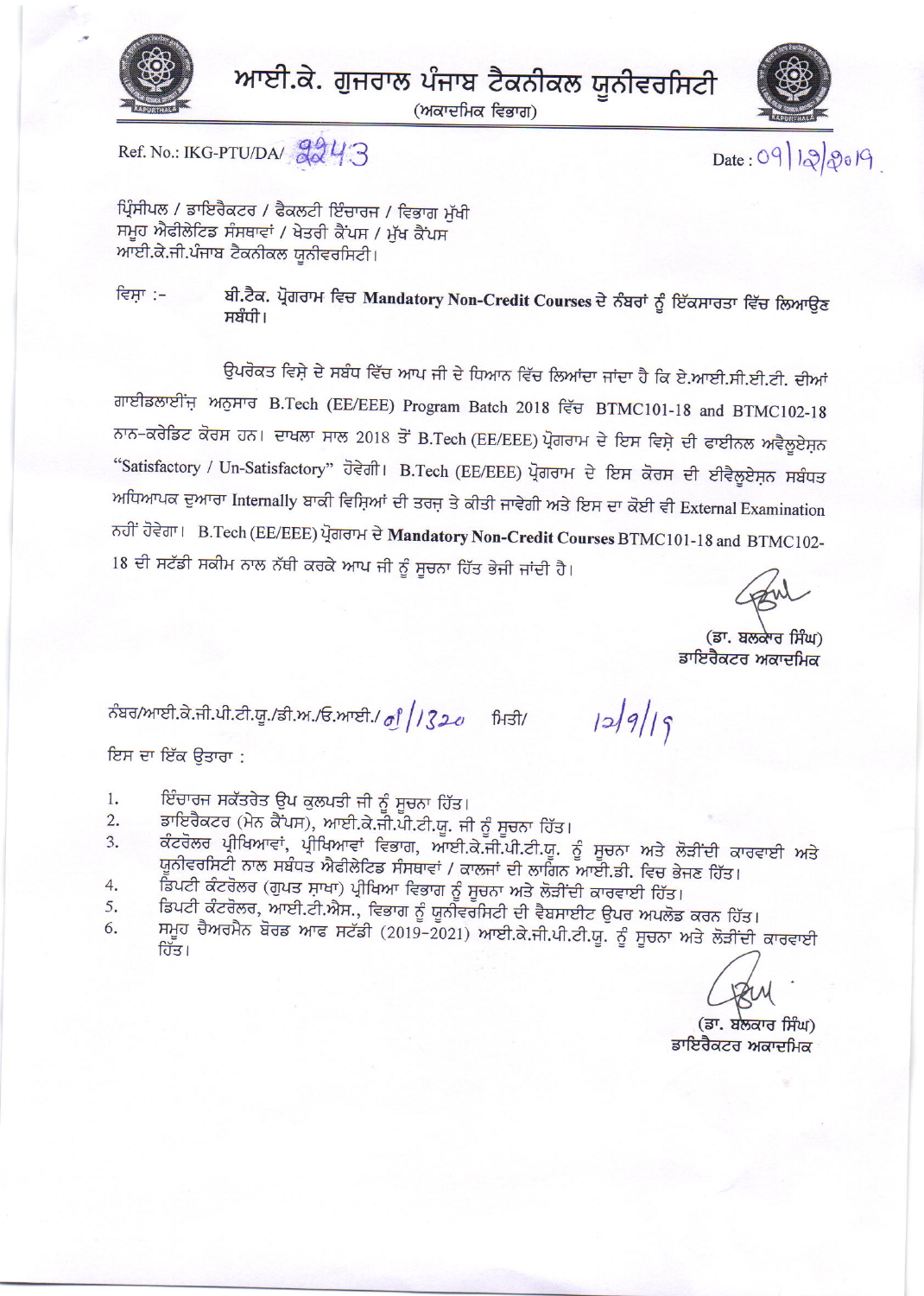

ਆਈ.ਕੇ. ਗੁਜਰਾਲ ਪੰਜਾਬ ਟੈਕਨੀਕਲ ਯੂਨੀਵਰਸਿਟੀ

(ਅਕਾਦਮਿਕ ਵਿਭਾਗ)





 $Date: 09 | 12 | 20 | 9$ 

Ref. No.: IKG-PTU/DA/ 2243

ਪ੍ਰਿੰਸੀਪਲ / ਡਾਇਰੈਕਟਰ / ਫੈਕਲਟੀ ਇੰਚਾਰਜ / ਵਿਭਾਗ ਮੱਖੀ ਸਮੂਹ ਐਫੀਲੇਟਿਡ ਸੰਸਥਾਵਾਂ / ਖੇਤਰੀ ਕੈਂਪਸ / ਮੁੱਖ ਕੈਂਪਸ ਆਈ.ਕੇ.ਜੀ.ਪੰਜਾਬ ਟੈਕਨੀਕਲ ਯੂਨੀਵਰਸਿਟੀ।

ਬੀ.ਟੈਕ. ਪ੍ਰੋਗਰਾਮ ਵਿਚ Mandatory Non-Credit Courses ਦੇ ਨੰਬਰਾਂ ਨੂੰ ਇੱਕਸਾਰਤਾ ਵਿੱਚ ਲਿਆਉਣ ਵਿਸ਼ਾ :-ਸਬੰਧੀ।

ਉਪਰੋਕਤ ਵਿਸ਼ੇ ਦੇ ਸਬੰਧ ਵਿੱਚ ਆਪ ਜੀ ਦੇ ਧਿਆਨ ਵਿੱਚ ਲਿਆਂਦਾ ਜਾਂਦਾ ਹੈ ਕਿ ਏ.ਆਈ.ਸੀ.ਈ.ਟੀ. ਦੀਆਂ ਗਾਈਡਲਾਈਂਜ਼ ਅਨੁਸਾਰ B.Tech (EE/EEE) Program Batch 2018 ਵਿੱਚ BTMC101-18 and BTMC102-18 ਨਾਨ-ਕਰੇਡਿਟ ਕੋਰਸ ਹਨ। ਦਾਖਲਾ ਸਾਲ 2018 ਤੋਂ B.Tech (EE/EEE) ਪ੍ਰੋਗਰਾਮ ਦੇ ਇਸ ਵਿਸ਼ੇ ਦੀ ਫਾਈਨਲ ਅਵੈਲੂਏਸ਼ਨ "Satisfactory / Un-Satisfactory" ਹੋਵੇਗੀ। B.Tech (EE/EEE) ਪ੍ਰੋਗਰਾਮ ਦੇ ਇਸ ਕੋਰਸ ਦੀ ਈਵੈਲੂਏਸ਼ਨ ਸਬੰਧਤ ਅਧਿਆਪਕ ਦੁਆਰਾ Internally ਬਾਕੀ ਵਿਸ਼ਿਆਂ ਦੀ ਤਰਜ਼ ਤੇ ਕੀਤੀ ਜਾਵੇਗੀ ਅਤੇ ਇਸ ਦਾ ਕੋਈ ਵੀ External Examination ਨਹੀਂ ਹੋਵੇਗਾ। B.Tech (EE/EEE) ਪ੍ਰੋਗਰਾਮ ਦੇ Mandatory Non-Credit Courses BTMC101-18 and BTMC102-18 ਦੀ ਸਟੱਡੀ ਸਕੀਮ ਨਾਲ ਨੱਥੀ ਕਰਕੇ ਆਪ ਜੀ ਨੂੰ ਸੂਚਨਾ ਹਿੱਤ ਭੇਜੀ ਜਾਂਦੀ ਹੈ।

(ਡਾ. ਬਲਕਾਰ ਸਿੰਘ) ਡਾਇਰੈਕਟਰ ਅਕਾਦਮਿਕ

 $129/19$ 

ਨੰਬਰ/ਆਈ.ਕੇ.ਜੀ.ਪੀ.ਟੀ.ਯੂ./ਡੀ.ਅ./ਓ.ਆਈ./ *ਗੁੰ || 320* ਮਿਤੀ/

ਇਸ ਦਾ ਇੱਕ ਉਤਾਰਾ :

- ਇੰਚਾਰਜ ਸਕੱਤਰੇਤ ਉਪ ਕੁਲਪਤੀ ਜੀ ਨੂੰ ਸੂਚਨਾ ਹਿੱਤ। 1.
- ਡਾਇਰੈਕਟਰ (ਮੇਨ ਕੈਂਪਸ), ਆਈ.ਕੇ.ਜੀ.ਪੀ.ਟੀ.ਯੂ. ਜੀ ਨੂੰ ਸੂਚਨਾ ਹਿੱਤ।  $2.$
- ਕੰਟਰੋਲਰ ਪ੍ਰੀਖਿਆਵਾਂ, ਪ੍ਰੀਖਿਆਵਾਂ ਵਿਭਾਗ, ਆਈ.ਕੇ.ਜੀ.ਪੀ.ਟੀ.ਯੂ. ਨੂੰ ਸੂਚਨਾ ਅਤੇ ਲੋੜੀਂਦੀ ਕਾਰਵਾਈ ਅਤੇ 3. ਯੂਨੀਵਰਸਿਟੀ ਨਾਲ ਸਬੰਧਤ ਐਫੀਲੇਟਿਡ ਸੰਸਥਾਵਾਂ / ਕਾਲਜਾਂ ਦੀ ਲਾਗਿਨ ਆਈ.ਡੀ. ਵਿਚ ਭੇਜਣ ਹਿੱਤ।
- ਡਿਪਟੀ ਕੰਟਰੋਲਰ (ਗੁਪਤ ਸਾਖਾ) ਪ੍ਰੀਖਿਆ ਵਿਭਾਗ ਨੂੰ ਸੂਚਨਾ ਅਤੇ ਲੋੜੀਂਦੀ ਕਾਰਵਾਈ ਹਿੱਤ। 4.
- ਡਿਪਟੀ ਕੰਟਰੋਲਰ, ਆਈ.ਟੀ.ਐਸ., ਵਿਭਾਗ ਨੂੰ ਯੂਨੀਵਰਸਿਟੀ ਦੀ ਵੈਬਸਾਈਟ ਉਪਰ ਅਪਲੋਡ ਕਰਨ ਹਿੱਤ। 5.
- ਸਮੂਹ ਚੈਅਰਮੈਨ ਬੋਰਡ ਆਫ ਸਟੱਡੀ (2019–2021) ਆਈ.ਕੇ.ਜੀ.ਪੀ.ਟੀ.ਯੂ. ਨੂੰ ਸੂਚਨਾ ਅਤੇ ਲੋੜੀਂਦੀ ਕਾਰਵਾਈ 6. ਹਿੱਤ।

(ਡਾ. ਬਲਕਾਰ ਸਿੰਘ) ਡਾਇਰੈਕਟਰ ਅਕਾਦਮਿਕ